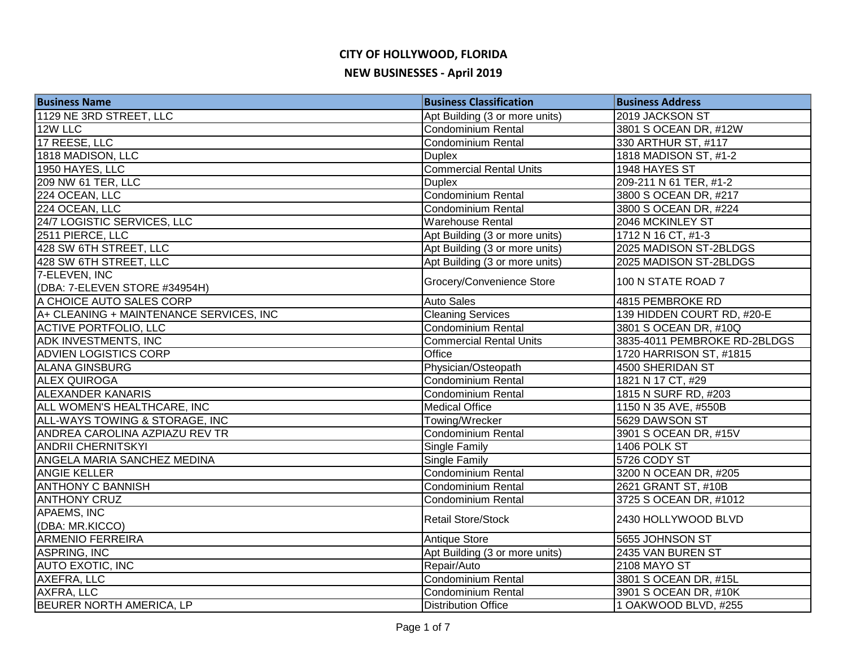| <b>Business Name</b>                    | <b>Business Classification</b> | <b>Business Address</b>      |
|-----------------------------------------|--------------------------------|------------------------------|
| 1129 NE 3RD STREET, LLC                 | Apt Building (3 or more units) | 2019 JACKSON ST              |
| 12W LLC                                 | <b>Condominium Rental</b>      | 3801 S OCEAN DR, #12W        |
| 17 REESE, LLC                           | <b>Condominium Rental</b>      | 330 ARTHUR ST, #117          |
| 1818 MADISON, LLC                       | <b>Duplex</b>                  | 1818 MADISON ST, #1-2        |
| 1950 HAYES, LLC                         | <b>Commercial Rental Units</b> | 1948 HAYES ST                |
| 209 NW 61 TER, LLC                      | <b>Duplex</b>                  | 209-211 N 61 TER, #1-2       |
| 224 OCEAN, LLC                          | <b>Condominium Rental</b>      | 3800 S OCEAN DR, #217        |
| 224 OCEAN, LLC                          | Condominium Rental             | 3800 S OCEAN DR, #224        |
| 24/7 LOGISTIC SERVICES, LLC             | <b>Warehouse Rental</b>        | 2046 MCKINLEY ST             |
| 2511 PIERCE, LLC                        | Apt Building (3 or more units) | 1712 N 16 CT, #1-3           |
| 428 SW 6TH STREET, LLC                  | Apt Building (3 or more units) | 2025 MADISON ST-2BLDGS       |
| 428 SW 6TH STREET, LLC                  | Apt Building (3 or more units) | 2025 MADISON ST-2BLDGS       |
| 7-ELEVEN, INC                           | Grocery/Convenience Store      | 100 N STATE ROAD 7           |
| (DBA: 7-ELEVEN STORE #34954H)           |                                |                              |
| A CHOICE AUTO SALES CORP                | <b>Auto Sales</b>              | 4815 PEMBROKE RD             |
| A+ CLEANING + MAINTENANCE SERVICES, INC | <b>Cleaning Services</b>       | 139 HIDDEN COURT RD, #20-E   |
| <b>ACTIVE PORTFOLIO, LLC</b>            | Condominium Rental             | 3801 S OCEAN DR, #10Q        |
| ADK INVESTMENTS, INC                    | <b>Commercial Rental Units</b> | 3835-4011 PEMBROKE RD-2BLDGS |
| <b>ADVIEN LOGISTICS CORP</b>            | Office                         | 1720 HARRISON ST, #1815      |
| <b>ALANA GINSBURG</b>                   | Physician/Osteopath            | 4500 SHERIDAN ST             |
| <b>ALEX QUIROGA</b>                     | Condominium Rental             | 1821 N 17 CT, #29            |
| <b>ALEXANDER KANARIS</b>                | Condominium Rental             | 1815 N SURF RD, #203         |
| ALL WOMEN'S HEALTHCARE, INC             | <b>Medical Office</b>          | 1150 N 35 AVE, #550B         |
| ALL-WAYS TOWING & STORAGE, INC          | Towing/Wrecker                 | 5629 DAWSON ST               |
| ANDREA CAROLINA AZPIAZU REV TR          | <b>Condominium Rental</b>      | 3901 S OCEAN DR, #15V        |
| <b>ANDRII CHERNITSKYI</b>               | <b>Single Family</b>           | 1406 POLK ST                 |
| ANGELA MARIA SANCHEZ MEDINA             | <b>Single Family</b>           | 5726 CODY ST                 |
| <b>ANGIE KELLER</b>                     | <b>Condominium Rental</b>      | 3200 N OCEAN DR, #205        |
| <b>ANTHONY C BANNISH</b>                | Condominium Rental             | 2621 GRANT ST, #10B          |
| <b>ANTHONY CRUZ</b>                     | <b>Condominium Rental</b>      | 3725 S OCEAN DR, #1012       |
| <b>APAEMS, INC</b>                      | <b>Retail Store/Stock</b>      | 2430 HOLLYWOOD BLVD          |
| (DBA: MR.KICCO)                         |                                |                              |
| <b>ARMENIO FERREIRA</b>                 | <b>Antique Store</b>           | 5655 JOHNSON ST              |
| <b>ASPRING, INC</b>                     | Apt Building (3 or more units) | 2435 VAN BUREN ST            |
| <b>AUTO EXOTIC, INC</b>                 | Repair/Auto                    | <b>2108 MAYO ST</b>          |
| AXEFRA, LLC                             | <b>Condominium Rental</b>      | 3801 S OCEAN DR, #15L        |
| AXFRA, LLC                              | <b>Condominium Rental</b>      | 3901 S OCEAN DR, #10K        |
| <b>BEURER NORTH AMERICA, LP</b>         | <b>Distribution Office</b>     | 1 OAKWOOD BLVD, #255         |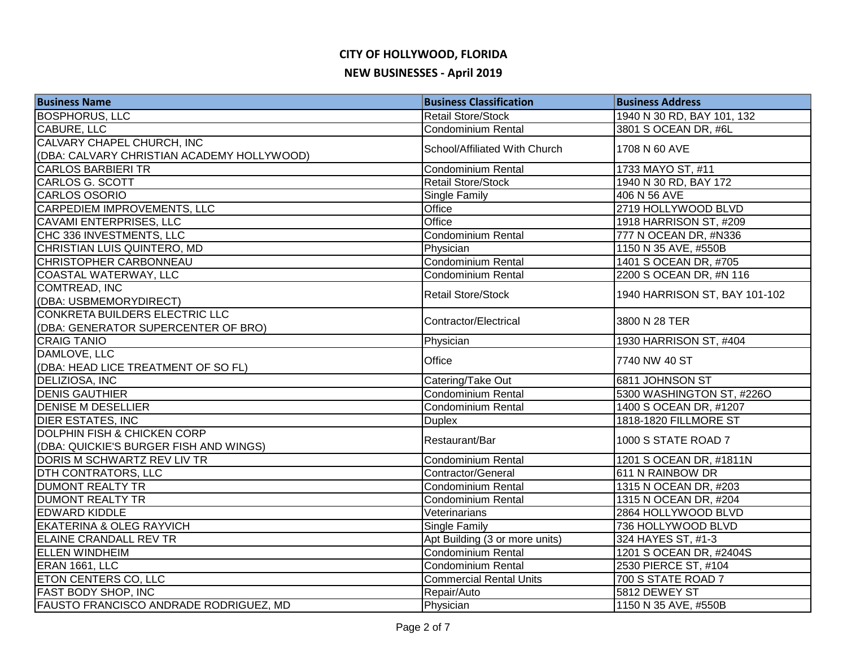# **CITY OF HOLLYWOOD, FLORIDA**

#### **NEW BUSINESSES - April 2019**

| <b>Business Name</b>                       | <b>Business Classification</b> | <b>Business Address</b>       |
|--------------------------------------------|--------------------------------|-------------------------------|
| <b>BOSPHORUS, LLC</b>                      | <b>Retail Store/Stock</b>      | 1940 N 30 RD, BAY 101, 132    |
| <b>CABURE, LLC</b>                         | <b>Condominium Rental</b>      | 3801 S OCEAN DR, #6L          |
| CALVARY CHAPEL CHURCH, INC                 | School/Affiliated With Church  | 1708 N 60 AVE                 |
| (DBA: CALVARY CHRISTIAN ACADEMY HOLLYWOOD) |                                |                               |
| <b>CARLOS BARBIERI TR</b>                  | Condominium Rental             | 1733 MAYO ST, #11             |
| <b>CARLOS G. SCOTT</b>                     | <b>Retail Store/Stock</b>      | 1940 N 30 RD, BAY 172         |
| <b>CARLOS OSORIO</b>                       | Single Family                  | 406 N 56 AVE                  |
| <b>CARPEDIEM IMPROVEMENTS, LLC</b>         | Office                         | 2719 HOLLYWOOD BLVD           |
| <b>CAVAMI ENTERPRISES, LLC</b>             | Office                         | 1918 HARRISON ST, #209        |
| CHC 336 INVESTMENTS, LLC                   | Condominium Rental             | 777 N OCEAN DR, #N336         |
| CHRISTIAN LUIS QUINTERO, MD                | Physician                      | 1150 N 35 AVE, #550B          |
| <b>CHRISTOPHER CARBONNEAU</b>              | Condominium Rental             | 1401 S OCEAN DR, #705         |
| COASTAL WATERWAY, LLC                      | <b>Condominium Rental</b>      | 2200 S OCEAN DR, #N 116       |
| <b>COMTREAD, INC</b>                       | <b>Retail Store/Stock</b>      | 1940 HARRISON ST, BAY 101-102 |
| (DBA: USBMEMORYDIRECT)                     |                                |                               |
| CONKRETA BUILDERS ELECTRIC LLC             | Contractor/Electrical          | 3800 N 28 TER                 |
| (DBA: GENERATOR SUPERCENTER OF BRO)        |                                |                               |
| <b>CRAIG TANIO</b>                         | Physician                      | 1930 HARRISON ST, #404        |
| DAMLOVE, LLC                               | Office                         | 7740 NW 40 ST                 |
| (DBA: HEAD LICE TREATMENT OF SO FL)        |                                |                               |
| DELIZIOSA, INC                             | Catering/Take Out              | 6811 JOHNSON ST               |
| <b>DENIS GAUTHIER</b>                      | Condominium Rental             | 5300 WASHINGTON ST, #226O     |
| <b>DENISE M DESELLIER</b>                  | <b>Condominium Rental</b>      | 1400 S OCEAN DR, #1207        |
| <b>DIER ESTATES, INC</b>                   | <b>Duplex</b>                  | 1818-1820 FILLMORE ST         |
| DOLPHIN FISH & CHICKEN CORP                | Restaurant/Bar                 | 1000 S STATE ROAD 7           |
| (DBA: QUICKIE'S BURGER FISH AND WINGS)     |                                |                               |
| DORIS M SCHWARTZ REV LIV TR                | <b>Condominium Rental</b>      | 1201 S OCEAN DR, #1811N       |
| <b>DTH CONTRATORS, LLC</b>                 | Contractor/General             | 611 N RAINBOW DR              |
| <b>DUMONT REALTY TR</b>                    | Condominium Rental             | 1315 N OCEAN DR, #203         |
| <b>DUMONT REALTY TR</b>                    | Condominium Rental             | 1315 N OCEAN DR, #204         |
| <b>EDWARD KIDDLE</b>                       | Veterinarians                  | 2864 HOLLYWOOD BLVD           |
| <b>EKATERINA &amp; OLEG RAYVICH</b>        | <b>Single Family</b>           | 736 HOLLYWOOD BLVD            |
| <b>ELAINE CRANDALL REV TR</b>              | Apt Building (3 or more units) | 324 HAYES ST, #1-3            |
| <b>ELLEN WINDHEIM</b>                      | Condominium Rental             | 1201 S OCEAN DR, #2404S       |
| ERAN 1661, LLC                             | Condominium Rental             | 2530 PIERCE ST, #104          |
| <b>ETON CENTERS CO, LLC</b>                | <b>Commercial Rental Units</b> | 700 S STATE ROAD 7            |
| <b>FAST BODY SHOP, INC</b>                 | Repair/Auto                    | 5812 DEWEY ST                 |
| FAUSTO FRANCISCO ANDRADE RODRIGUEZ, MD     | Physician                      | 1150 N 35 AVE, #550B          |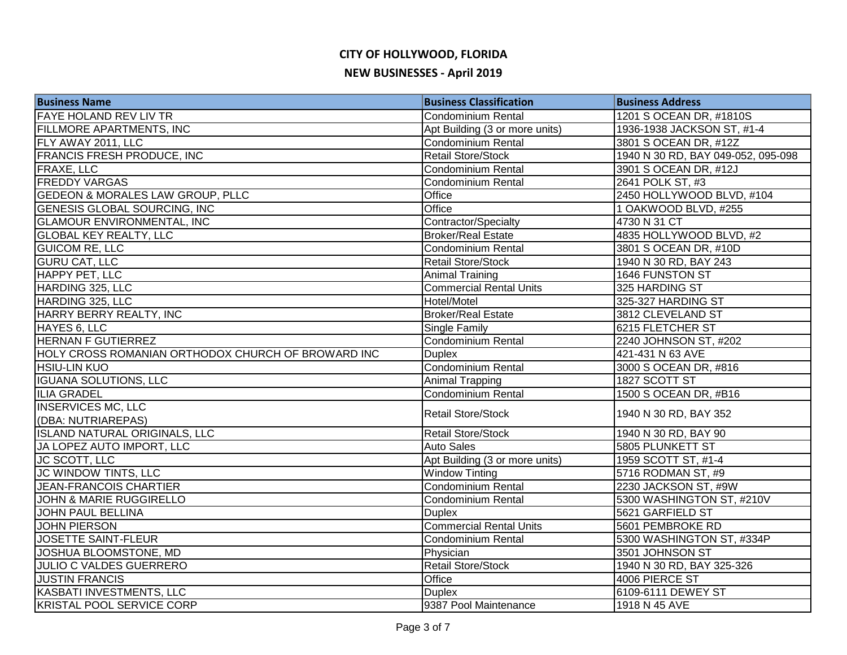| <b>Business Name</b>                               | <b>Business Classification</b> | <b>Business Address</b>            |
|----------------------------------------------------|--------------------------------|------------------------------------|
| <b>FAYE HOLAND REV LIV TR</b>                      | Condominium Rental             | 1201 S OCEAN DR, #1810S            |
| <b>FILLMORE APARTMENTS, INC</b>                    | Apt Building (3 or more units) | 1936-1938 JACKSON ST, #1-4         |
| FLY AWAY 2011, LLC                                 | Condominium Rental             | 3801 S OCEAN DR, #12Z              |
| <b>FRANCIS FRESH PRODUCE, INC</b>                  | <b>Retail Store/Stock</b>      | 1940 N 30 RD, BAY 049-052, 095-098 |
| <b>FRAXE, LLC</b>                                  | <b>Condominium Rental</b>      | 3901 S OCEAN DR, #12J              |
| <b>FREDDY VARGAS</b>                               | <b>Condominium Rental</b>      | 2641 POLK ST, #3                   |
| <b>GEDEON &amp; MORALES LAW GROUP, PLLC</b>        | Office                         | 2450 HOLLYWOOD BLVD, #104          |
| <b>GENESIS GLOBAL SOURCING, INC</b>                | Office                         | 1 OAKWOOD BLVD, #255               |
| <b>GLAMOUR ENVIRONMENTAL, INC</b>                  | Contractor/Specialty           | 4730 N 31 CT                       |
| <b>GLOBAL KEY REALTY, LLC</b>                      | <b>Broker/Real Estate</b>      | 4835 HOLLYWOOD BLVD, #2            |
| <b>GUICOM RE, LLC</b>                              | Condominium Rental             | 3801 S OCEAN DR, #10D              |
| <b>GURU CAT, LLC</b>                               | <b>Retail Store/Stock</b>      | 1940 N 30 RD, BAY 243              |
| HAPPY PET, LLC                                     | <b>Animal Training</b>         | 1646 FUNSTON ST                    |
| HARDING 325, LLC                                   | <b>Commercial Rental Units</b> | 325 HARDING ST                     |
| HARDING 325, LLC                                   | Hotel/Motel                    | 325-327 HARDING ST                 |
| HARRY BERRY REALTY, INC                            | <b>Broker/Real Estate</b>      | 3812 CLEVELAND ST                  |
| HAYES 6, LLC                                       | Single Family                  | 6215 FLETCHER ST                   |
| <b>HERNAN F GUTIERREZ</b>                          | <b>Condominium Rental</b>      | 2240 JOHNSON ST, #202              |
| HOLY CROSS ROMANIAN ORTHODOX CHURCH OF BROWARD INC | <b>Duplex</b>                  | 421-431 N 63 AVE                   |
| <b>HSIU-LIN KUO</b>                                | Condominium Rental             | 3000 S OCEAN DR, #816              |
| <b>IGUANA SOLUTIONS, LLC</b>                       | Animal Trapping                | 1827 SCOTT ST                      |
| <b>ILIA GRADEL</b>                                 | <b>Condominium Rental</b>      | 1500 S OCEAN DR, #B16              |
| <b>INSERVICES MC, LLC</b><br>(DBA: NUTRIAREPAS)    | <b>Retail Store/Stock</b>      | 1940 N 30 RD, BAY 352              |
| <b>ISLAND NATURAL ORIGINALS, LLC</b>               | <b>Retail Store/Stock</b>      | 1940 N 30 RD, BAY 90               |
| JA LOPEZ AUTO IMPORT, LLC                          | <b>Auto Sales</b>              | <b>5805 PLUNKETT ST</b>            |
| <b>JC SCOTT, LLC</b>                               | Apt Building (3 or more units) | 1959 SCOTT ST, #1-4                |
| JC WINDOW TINTS, LLC                               | <b>Window Tinting</b>          | 5716 RODMAN ST, #9                 |
| <b>JEAN-FRANCOIS CHARTIER</b>                      | <b>Condominium Rental</b>      | 2230 JACKSON ST, #9W               |
| <b>JOHN &amp; MARIE RUGGIRELLO</b>                 | Condominium Rental             | 5300 WASHINGTON ST, #210V          |
| JOHN PAUL BELLINA                                  | <b>Duplex</b>                  | 5621 GARFIELD ST                   |
| <b>JOHN PIERSON</b>                                | <b>Commercial Rental Units</b> | 5601 PEMBROKE RD                   |
| <b>JOSETTE SAINT-FLEUR</b>                         | <b>Condominium Rental</b>      | 5300 WASHINGTON ST, #334P          |
| JOSHUA BLOOMSTONE, MD                              | Physician                      | 3501 JOHNSON ST                    |
| <b>JULIO C VALDES GUERRERO</b>                     | <b>Retail Store/Stock</b>      | 1940 N 30 RD, BAY 325-326          |
| <b>JUSTIN FRANCIS</b>                              | Office                         | 4006 PIERCE ST                     |
| KASBATI INVESTMENTS, LLC                           | <b>Duplex</b>                  | 6109-6111 DEWEY ST                 |
| <b>KRISTAL POOL SERVICE CORP</b>                   | 9387 Pool Maintenance          | 1918 N 45 AVE                      |
|                                                    |                                |                                    |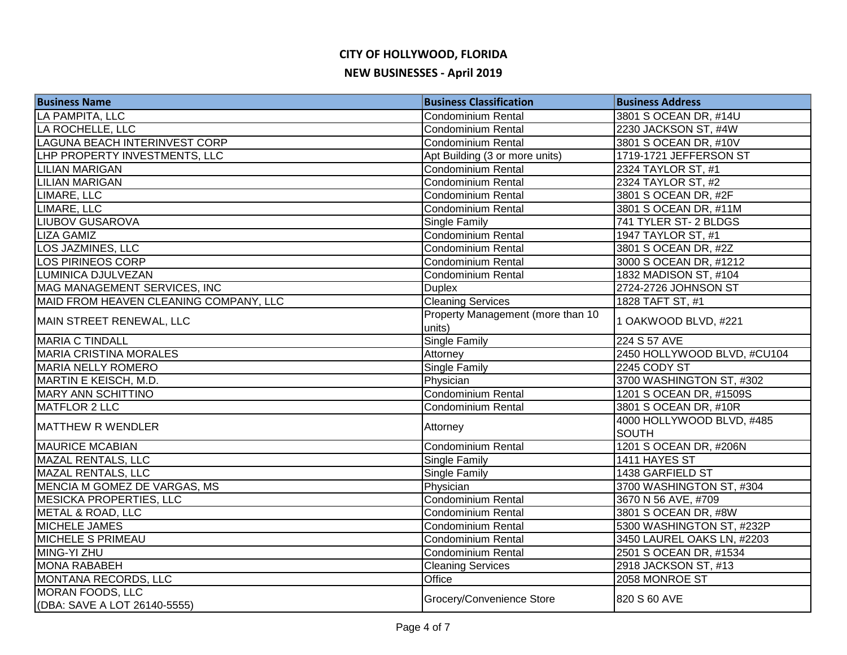| <b>Business Name</b>                                    | <b>Business Classification</b>              | <b>Business Address</b>                   |
|---------------------------------------------------------|---------------------------------------------|-------------------------------------------|
| LA PAMPITA, LLC                                         | <b>Condominium Rental</b>                   | 3801 S OCEAN DR, #14U                     |
| LA ROCHELLE, LLC                                        | <b>Condominium Rental</b>                   | 2230 JACKSON ST, #4W                      |
| LAGUNA BEACH INTERINVEST CORP                           | Condominium Rental                          | 3801 S OCEAN DR, #10V                     |
| LHP PROPERTY INVESTMENTS, LLC                           | Apt Building (3 or more units)              | 1719-1721 JEFFERSON ST                    |
| <b>LILIAN MARIGAN</b>                                   | Condominium Rental                          | 2324 TAYLOR ST, #1                        |
| <b>LILIAN MARIGAN</b>                                   | Condominium Rental                          | 2324 TAYLOR ST, #2                        |
| LIMARE, LLC                                             | <b>Condominium Rental</b>                   | 3801 S OCEAN DR, #2F                      |
| LIMARE, LLC                                             | Condominium Rental                          | 3801 S OCEAN DR, #11M                     |
| <b>LIUBOV GUSAROVA</b>                                  | Single Family                               | 741 TYLER ST-2 BLDGS                      |
| <b>LIZA GAMIZ</b>                                       | <b>Condominium Rental</b>                   | 1947 TAYLOR ST, #1                        |
| <b>LOS JAZMINES, LLC</b>                                | Condominium Rental                          | 3801 S OCEAN DR, #2Z                      |
| <b>LOS PIRINEOS CORP</b>                                | Condominium Rental                          | 3000 S OCEAN DR, #1212                    |
| LUMINICA DJULVEZAN                                      | <b>Condominium Rental</b>                   | 1832 MADISON ST, #104                     |
| MAG MANAGEMENT SERVICES, INC                            | <b>Duplex</b>                               | 2724-2726 JOHNSON ST                      |
| MAID FROM HEAVEN CLEANING COMPANY, LLC                  | <b>Cleaning Services</b>                    | 1828 TAFT ST, #1                          |
| MAIN STREET RENEWAL, LLC                                | Property Management (more than 10<br>units) | 1 OAKWOOD BLVD, #221                      |
| <b>MARIA C TINDALL</b>                                  | <b>Single Family</b>                        | 224 S 57 AVE                              |
| <b>MARIA CRISTINA MORALES</b>                           | Attorney                                    | 2450 HOLLYWOOD BLVD, #CU104               |
| <b>MARIA NELLY ROMERO</b>                               | Single Family                               | 2245 CODY ST                              |
| MARTIN E KEISCH, M.D.                                   | Physician                                   | 3700 WASHINGTON ST, #302                  |
| <b>MARY ANN SCHITTINO</b>                               | Condominium Rental                          | 1201 S OCEAN DR, #1509S                   |
| <b>MATFLOR 2 LLC</b>                                    | Condominium Rental                          | 3801 S OCEAN DR, #10R                     |
| <b>MATTHEW R WENDLER</b>                                | Attorney                                    | 4000 HOLLYWOOD BLVD, #485<br><b>SOUTH</b> |
| <b>MAURICE MCABIAN</b>                                  | Condominium Rental                          | 1201 S OCEAN DR, #206N                    |
| <b>MAZAL RENTALS, LLC</b>                               | Single Family                               | 1411 HAYES ST                             |
| <b>MAZAL RENTALS, LLC</b>                               | <b>Single Family</b>                        | 1438 GARFIELD ST                          |
| MENCIA M GOMEZ DE VARGAS, MS                            | Physician                                   | 3700 WASHINGTON ST, #304                  |
| <b>MESICKA PROPERTIES, LLC</b>                          | <b>Condominium Rental</b>                   | 3670 N 56 AVE, #709                       |
| <b>METAL &amp; ROAD, LLC</b>                            | <b>Condominium Rental</b>                   | 3801 S OCEAN DR, #8W                      |
| <b>MICHELE JAMES</b>                                    | Condominium Rental                          | 5300 WASHINGTON ST, #232P                 |
| MICHELE S PRIMEAU                                       | <b>Condominium Rental</b>                   | 3450 LAUREL OAKS LN, #2203                |
| MING-YI ZHU                                             | <b>Condominium Rental</b>                   | 2501 S OCEAN DR, #1534                    |
| <b>MONA RABABEH</b>                                     | <b>Cleaning Services</b>                    | 2918 JACKSON ST, #13                      |
| MONTANA RECORDS, LLC                                    | <b>Office</b>                               | 2058 MONROE ST                            |
| <b>MORAN FOODS, LLC</b><br>(DBA: SAVE A LOT 26140-5555) | Grocery/Convenience Store                   | 820 S 60 AVE                              |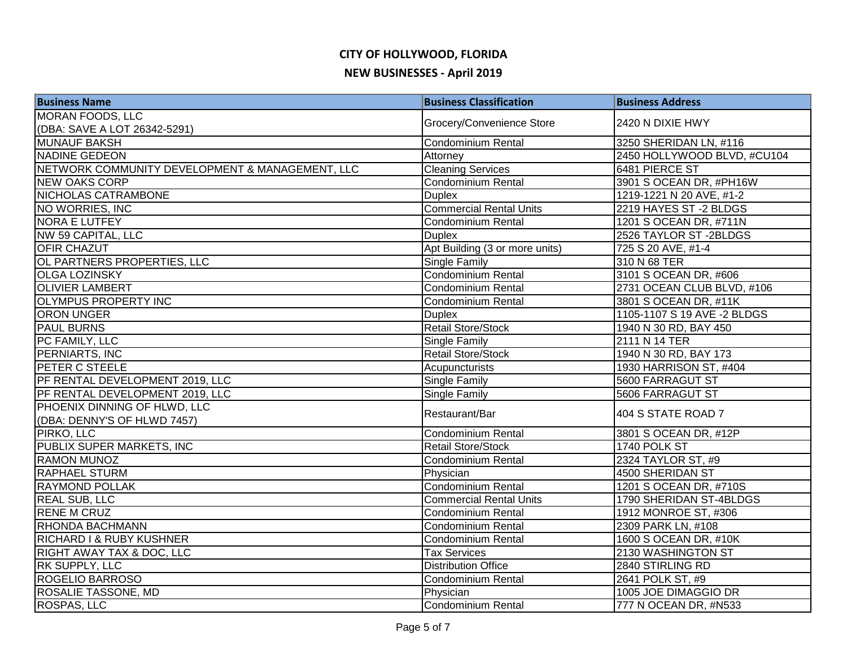| <b>Business Name</b>                            | <b>Business Classification</b> | <b>Business Address</b>     |
|-------------------------------------------------|--------------------------------|-----------------------------|
| <b>MORAN FOODS, LLC</b>                         | Grocery/Convenience Store      | 2420 N DIXIE HWY            |
| (DBA: SAVE A LOT 26342-5291)                    |                                |                             |
| <b>MUNAUF BAKSH</b>                             | Condominium Rental             | 3250 SHERIDAN LN, #116      |
| NADINE GEDEON                                   | Attorney                       | 2450 HOLLYWOOD BLVD, #CU104 |
| NETWORK COMMUNITY DEVELOPMENT & MANAGEMENT, LLC | <b>Cleaning Services</b>       | 6481 PIERCE ST              |
| <b>NEW OAKS CORP</b>                            | <b>Condominium Rental</b>      | 3901 S OCEAN DR, #PH16W     |
| <b>NICHOLAS CATRAMBONE</b>                      | <b>Duplex</b>                  | 1219-1221 N 20 AVE, #1-2    |
| NO WORRIES, INC                                 | <b>Commercial Rental Units</b> | 2219 HAYES ST-2 BLDGS       |
| <b>NORA E LUTFEY</b>                            | Condominium Rental             | 1201 S OCEAN DR, #711N      |
| NW 59 CAPITAL, LLC                              | <b>Duplex</b>                  | 2526 TAYLOR ST-2BLDGS       |
| <b>OFIR CHAZUT</b>                              | Apt Building (3 or more units) | 725 S 20 AVE, #1-4          |
| OL PARTNERS PROPERTIES, LLC                     | <b>Single Family</b>           | 310 N 68 TER                |
| <b>OLGA LOZINSKY</b>                            | Condominium Rental             | 3101 S OCEAN DR, #606       |
| <b>OLIVIER LAMBERT</b>                          | <b>Condominium Rental</b>      | 2731 OCEAN CLUB BLVD, #106  |
| <b>OLYMPUS PROPERTY INC</b>                     | Condominium Rental             | 3801 S OCEAN DR, #11K       |
| <b>ORON UNGER</b>                               | <b>Duplex</b>                  | 1105-1107 S 19 AVE -2 BLDGS |
| <b>PAUL BURNS</b>                               | <b>Retail Store/Stock</b>      | 1940 N 30 RD, BAY 450       |
| PC FAMILY, LLC                                  | Single Family                  | 2111 N 14 TER               |
| PERNIARTS, INC                                  | <b>Retail Store/Stock</b>      | 1940 N 30 RD, BAY 173       |
| <b>PETER C STEELE</b>                           | Acupuncturists                 | 1930 HARRISON ST, #404      |
| PF RENTAL DEVELOPMENT 2019, LLC                 | <b>Single Family</b>           | 5600 FARRAGUT ST            |
| PF RENTAL DEVELOPMENT 2019, LLC                 | Single Family                  | 5606 FARRAGUT ST            |
| PHOENIX DINNING OF HLWD, LLC                    |                                | 404 S STATE ROAD 7          |
| (DBA: DENNY'S OF HLWD 7457)                     | Restaurant/Bar                 |                             |
| PIRKO, LLC                                      | Condominium Rental             | 3801 S OCEAN DR, #12P       |
| PUBLIX SUPER MARKETS, INC                       | <b>Retail Store/Stock</b>      | 1740 POLK ST                |
| <b>RAMON MUNOZ</b>                              | Condominium Rental             | 2324 TAYLOR ST, #9          |
| <b>RAPHAEL STURM</b>                            | Physician                      | 4500 SHERIDAN ST            |
| <b>RAYMOND POLLAK</b>                           | <b>Condominium Rental</b>      | 1201 S OCEAN DR, #710S      |
| <b>REAL SUB, LLC</b>                            | <b>Commercial Rental Units</b> | 1790 SHERIDAN ST-4BLDGS     |
| <b>RENE M CRUZ</b>                              | Condominium Rental             | 1912 MONROE ST, #306        |
| <b>RHONDA BACHMANN</b>                          | <b>Condominium Rental</b>      | 2309 PARK LN, #108          |
| <b>RICHARD I &amp; RUBY KUSHNER</b>             | <b>Condominium Rental</b>      | 1600 S OCEAN DR, #10K       |
| <b>RIGHT AWAY TAX &amp; DOC, LLC</b>            | <b>Tax Services</b>            | 2130 WASHINGTON ST          |
| <b>RK SUPPLY, LLC</b>                           | <b>Distribution Office</b>     | 2840 STIRLING RD            |
| ROGELIO BARROSO                                 | Condominium Rental             | 2641 POLK ST, #9            |
| <b>ROSALIE TASSONE, MD</b>                      | Physician                      | 1005 JOE DIMAGGIO DR        |
| ROSPAS, LLC                                     | <b>Condominium Rental</b>      | 777 N OCEAN DR, #N533       |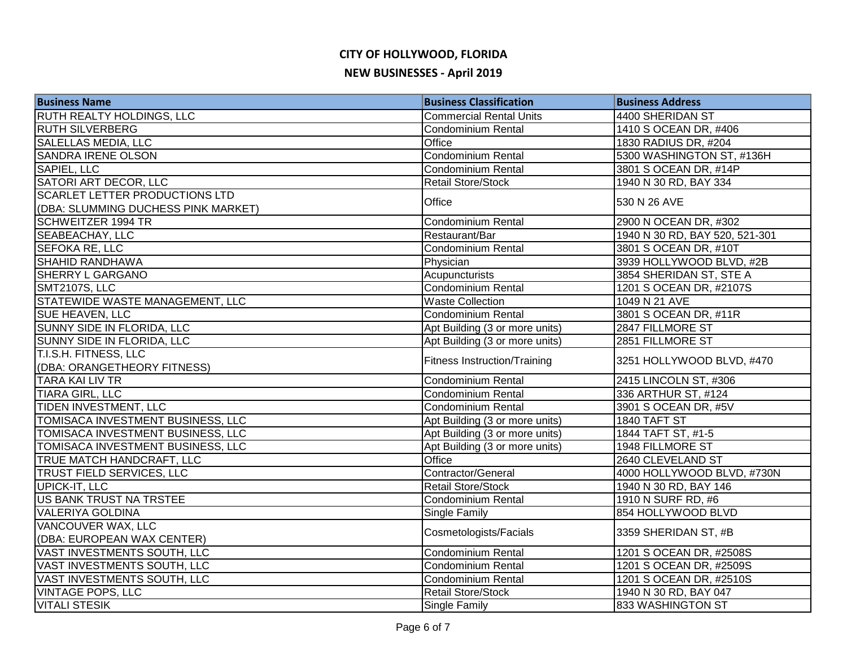| <b>Business Name</b>                  | <b>Business Classification</b>      | <b>Business Address</b>        |
|---------------------------------------|-------------------------------------|--------------------------------|
| <b>RUTH REALTY HOLDINGS, LLC</b>      | <b>Commercial Rental Units</b>      | 4400 SHERIDAN ST               |
| <b>RUTH SILVERBERG</b>                | <b>Condominium Rental</b>           | 1410 S OCEAN DR, #406          |
| SALELLAS MEDIA, LLC                   | Office                              | 1830 RADIUS DR, #204           |
| <b>SANDRA IRENE OLSON</b>             | <b>Condominium Rental</b>           | 5300 WASHINGTON ST, #136H      |
| SAPIEL, LLC                           | <b>Condominium Rental</b>           | 3801 S OCEAN DR, #14P          |
| SATORI ART DECOR, LLC                 | <b>Retail Store/Stock</b>           | 1940 N 30 RD, BAY 334          |
| <b>SCARLET LETTER PRODUCTIONS LTD</b> | Office                              | 530 N 26 AVE                   |
| (DBA: SLUMMING DUCHESS PINK MARKET)   |                                     |                                |
| <b>SCHWEITZER 1994 TR</b>             | Condominium Rental                  | 2900 N OCEAN DR, #302          |
| SEABEACHAY, LLC                       | Restaurant/Bar                      | 1940 N 30 RD, BAY 520, 521-301 |
| SEFOKA RE, LLC                        | Condominium Rental                  | 3801 S OCEAN DR, #10T          |
| <b>SHAHID RANDHAWA</b>                | Physician                           | 3939 HOLLYWOOD BLVD, #2B       |
| <b>SHERRY L GARGANO</b>               | Acupuncturists                      | 3854 SHERIDAN ST, STE A        |
| SMT2107S, LLC                         | Condominium Rental                  | 1201 S OCEAN DR, #2107S        |
| STATEWIDE WASTE MANAGEMENT, LLC       | <b>Waste Collection</b>             | 1049 N 21 AVE                  |
| SUE HEAVEN, LLC                       | Condominium Rental                  | 3801 S OCEAN DR, #11R          |
| SUNNY SIDE IN FLORIDA, LLC            | Apt Building (3 or more units)      | 2847 FILLMORE ST               |
| SUNNY SIDE IN FLORIDA, LLC            | Apt Building (3 or more units)      | 2851 FILLMORE ST               |
| T.I.S.H. FITNESS, LLC                 | <b>Fitness Instruction/Training</b> | 3251 HOLLYWOOD BLVD, #470      |
| (DBA: ORANGETHEORY FITNESS)           |                                     |                                |
| <b>TARA KAI LIV TR</b>                | Condominium Rental                  | 2415 LINCOLN ST, #306          |
| TIARA GIRL, LLC                       | <b>Condominium Rental</b>           | 336 ARTHUR ST, #124            |
| TIDEN INVESTMENT, LLC                 | Condominium Rental                  | 3901 S OCEAN DR, #5V           |
| TOMISACA INVESTMENT BUSINESS, LLC     | Apt Building (3 or more units)      | 1840 TAFT ST                   |
| TOMISACA INVESTMENT BUSINESS, LLC     | Apt Building (3 or more units)      | 1844 TAFT ST, #1-5             |
| TOMISACA INVESTMENT BUSINESS, LLC     | Apt Building (3 or more units)      | <b>1948 FILLMORE ST</b>        |
| <b>TRUE MATCH HANDCRAFT, LLC</b>      | Office                              | 2640 CLEVELAND ST              |
| <b>TRUST FIELD SERVICES, LLC</b>      | Contractor/General                  | 4000 HOLLYWOOD BLVD, #730N     |
| UPICK-IT, LLC                         | <b>Retail Store/Stock</b>           | 1940 N 30 RD, BAY 146          |
| US BANK TRUST NA TRSTEE               | Condominium Rental                  | 1910 N SURF RD, #6             |
| VALERIYA GOLDINA                      | Single Family                       | 854 HOLLYWOOD BLVD             |
| <b>VANCOUVER WAX, LLC</b>             | Cosmetologists/Facials              | 3359 SHERIDAN ST, #B           |
| (DBA: EUROPEAN WAX CENTER)            |                                     |                                |
| VAST INVESTMENTS SOUTH, LLC           | Condominium Rental                  | 1201 S OCEAN DR, #2508S        |
| VAST INVESTMENTS SOUTH, LLC           | Condominium Rental                  | 1201 S OCEAN DR, #2509S        |
| VAST INVESTMENTS SOUTH, LLC           | <b>Condominium Rental</b>           | 1201 S OCEAN DR, #2510S        |
| <b>VINTAGE POPS, LLC</b>              | <b>Retail Store/Stock</b>           | 1940 N 30 RD, BAY 047          |
| <b>VITALI STESIK</b>                  | Single Family                       | 833 WASHINGTON ST              |